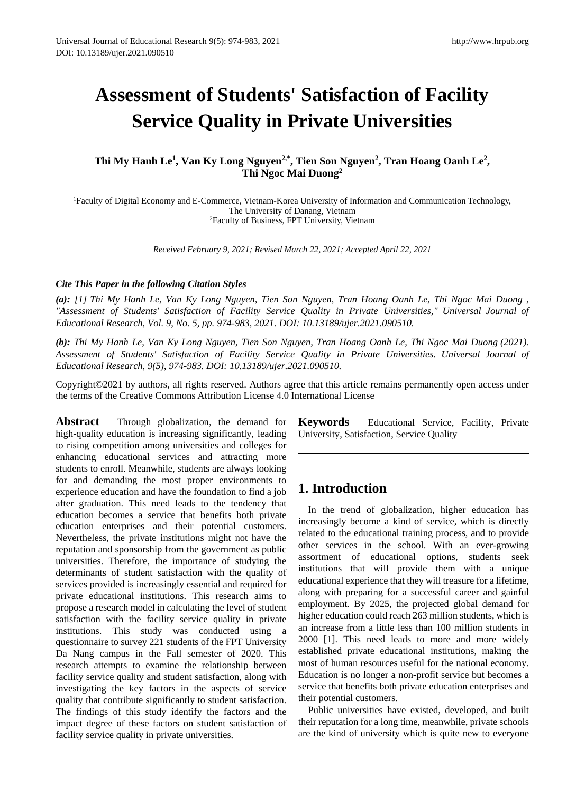# **Assessment of Students' Satisfaction of Facility Service Quality in Private Universities**

### Thi My Hanh Le<sup>1</sup>, Van Ky Long Nguyen<sup>2,\*</sup>, Tien Son Nguyen<sup>2</sup>, Tran Hoang Oanh Le<sup>2</sup>, **Thi Ngoc Mai Duong<sup>2</sup>**

<sup>1</sup>Faculty of Digital Economy and E-Commerce, Vietnam-Korea University of Information and Communication Technology, The University of Danang, Vietnam <sup>2</sup>Faculty of Business, FPT University, Vietnam

*Received February 9, 2021; Revised March 22, 2021; Accepted April 22, 2021*

### *Cite This Paper in the following Citation Styles*

*(a): [1] Thi My Hanh Le, Van Ky Long Nguyen, Tien Son Nguyen, Tran Hoang Oanh Le, Thi Ngoc Mai Duong , "Assessment of Students' Satisfaction of Facility Service Quality in Private Universities," Universal Journal of Educational Research, Vol. 9, No. 5, pp. 974-983, 2021. DOI: 10.13189/ujer.2021.090510.* 

*(b): Thi My Hanh Le, Van Ky Long Nguyen, Tien Son Nguyen, Tran Hoang Oanh Le, Thi Ngoc Mai Duong (2021). Assessment of Students' Satisfaction of Facility Service Quality in Private Universities. Universal Journal of Educational Research, 9(5), 974-983. DOI: 10.13189/ujer.2021.090510.* 

Copyright©2021 by authors, all rights reserved. Authors agree that this article remains permanently open access under the terms of the Creative Commons Attribution License 4.0 International License

**Abstract** Through globalization, the demand for high-quality education is increasing significantly, leading to rising competition among universities and colleges for enhancing educational services and attracting more students to enroll. Meanwhile, students are always looking for and demanding the most proper environments to experience education and have the foundation to find a job after graduation. This need leads to the tendency that education becomes a service that benefits both private education enterprises and their potential customers. Nevertheless, the private institutions might not have the reputation and sponsorship from the government as public universities. Therefore, the importance of studying the determinants of student satisfaction with the quality of services provided is increasingly essential and required for private educational institutions. This research aims to propose a research model in calculating the level of student satisfaction with the facility service quality in private institutions. This study was conducted using a questionnaire to survey 221 students of the FPT University Da Nang campus in the Fall semester of 2020. This research attempts to examine the relationship between facility service quality and student satisfaction, along with investigating the key factors in the aspects of service quality that contribute significantly to student satisfaction. The findings of this study identify the factors and the impact degree of these factors on student satisfaction of facility service quality in private universities.

**Keywords** Educational Service, Facility, Private University, Satisfaction, Service Quality

### **1. Introduction**

In the trend of globalization, higher education has increasingly become a kind of service, which is directly related to the educational training process, and to provide other services in the school. With an ever-growing assortment of educational options, students seek institutions that will provide them with a unique educational experience that they will treasure for a lifetime, along with preparing for a successful career and gainful employment. By 2025, the projected global demand for higher education could reach 263 million students, which is an increase from a little less than 100 million students in 2000 [1]. This need leads to more and more widely established private educational institutions, making the most of human resources useful for the national economy. Education is no longer a non-profit service but becomes a service that benefits both private education enterprises and their potential customers.

Public universities have existed, developed, and built their reputation for a long time, meanwhile, private schools are the kind of university which is quite new to everyone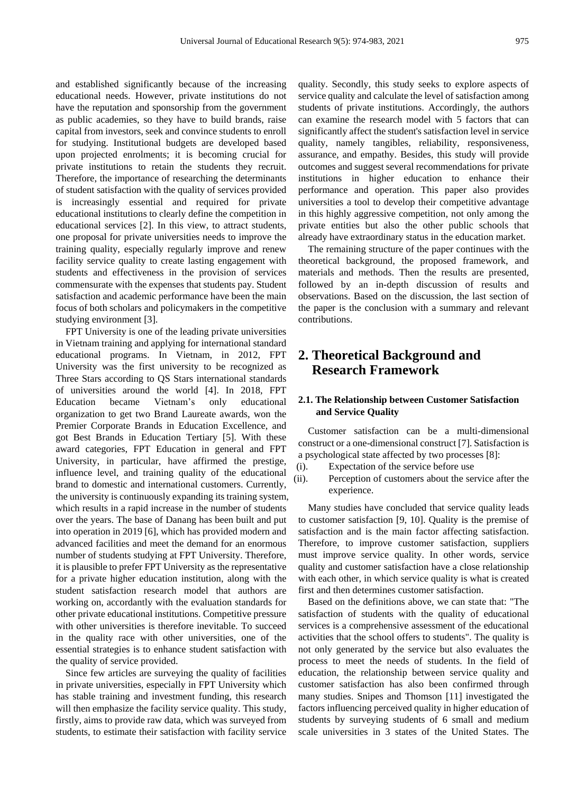and established significantly because of the increasing educational needs. However, private institutions do not have the reputation and sponsorship from the government as public academies, so they have to build brands, raise capital from investors, seek and convince students to enroll for studying. Institutional budgets are developed based upon projected enrolments; it is becoming crucial for private institutions to retain the students they recruit. Therefore, the importance of researching the determinants of student satisfaction with the quality of services provided is increasingly essential and required for private educational institutions to clearly define the competition in educational services [2]. In this view, to attract students, one proposal for private universities needs to improve the training quality, especially regularly improve and renew facility service quality to create lasting engagement with students and effectiveness in the provision of services commensurate with the expenses that students pay. Student satisfaction and academic performance have been the main focus of both scholars and policymakers in the competitive studying environment [3].

FPT University is one of the leading private universities in Vietnam training and applying for international standard educational programs. In Vietnam, in 2012, FPT University was the first university to be recognized as Three Stars according to QS Stars international standards of universities around the world [4]. In 2018, FPT Education became Vietnam's only educational organization to get two Brand Laureate awards, won the Premier Corporate Brands in Education Excellence, and got Best Brands in Education Tertiary [5]. With these award categories, FPT Education in general and FPT University, in particular, have affirmed the prestige, influence level, and training quality of the educational brand to domestic and international customers. Currently, the university is continuously expanding its training system, which results in a rapid increase in the number of students over the years. The base of Danang has been built and put into operation in 2019 [6], which has provided modern and advanced facilities and meet the demand for an enormous number of students studying at FPT University. Therefore, it is plausible to prefer FPT University as the representative for a private higher education institution, along with the student satisfaction research model that authors are working on, accordantly with the evaluation standards for other private educational institutions. Competitive pressure with other universities is therefore inevitable. To succeed in the quality race with other universities, one of the essential strategies is to enhance student satisfaction with the quality of service provided.

Since few articles are surveying the quality of facilities in private universities, especially in FPT University which has stable training and investment funding, this research will then emphasize the facility service quality. This study, firstly, aims to provide raw data, which was surveyed from students, to estimate their satisfaction with facility service

quality. Secondly, this study seeks to explore aspects of service quality and calculate the level of satisfaction among students of private institutions. Accordingly, the authors can examine the research model with 5 factors that can significantly affect the student's satisfaction level in service quality, namely tangibles, reliability, responsiveness, assurance, and empathy. Besides, this study will provide outcomes and suggest several recommendations for private institutions in higher education to enhance their performance and operation. This paper also provides universities a tool to develop their competitive advantage in this highly aggressive competition, not only among the private entities but also the other public schools that already have extraordinary status in the education market.

The remaining structure of the paper continues with the theoretical background, the proposed framework, and materials and methods. Then the results are presented, followed by an in-depth discussion of results and observations. Based on the discussion, the last section of the paper is the conclusion with a summary and relevant contributions.

### **2. Theoretical Background and Research Framework**

### **2.1. The Relationship between Customer Satisfaction and Service Quality**

Customer satisfaction can be a multi-dimensional construct or a one-dimensional construct [7]. Satisfaction is a psychological state affected by two processes [8]:

- (i). Expectation of the service before use
- (ii). Perception of customers about the service after the experience.

Many studies have concluded that service quality leads to customer satisfaction [9, 10]. Quality is the premise of satisfaction and is the main factor affecting satisfaction. Therefore, to improve customer satisfaction, suppliers must improve service quality. In other words, service quality and customer satisfaction have a close relationship with each other, in which service quality is what is created first and then determines customer satisfaction.

Based on the definitions above, we can state that: "The satisfaction of students with the quality of educational services is a comprehensive assessment of the educational activities that the school offers to students". The quality is not only generated by the service but also evaluates the process to meet the needs of students. In the field of education, the relationship between service quality and customer satisfaction has also been confirmed through many studies. Snipes and Thomson [11] investigated the factors influencing perceived quality in higher education of students by surveying students of 6 small and medium scale universities in 3 states of the United States. The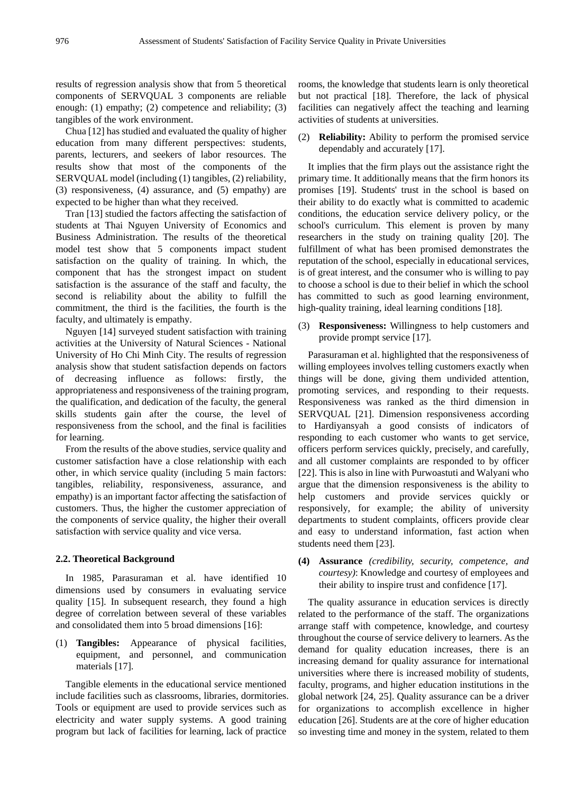results of regression analysis show that from 5 theoretical components of SERVQUAL 3 components are reliable enough: (1) empathy; (2) competence and reliability; (3) tangibles of the work environment.

Chua [12] has studied and evaluated the quality of higher education from many different perspectives: students, parents, lecturers, and seekers of labor resources. The results show that most of the components of the SERVQUAL model (including (1) tangibles, (2) reliability, (3) responsiveness, (4) assurance, and (5) empathy) are expected to be higher than what they received.

Tran [13] studied the factors affecting the satisfaction of students at Thai Nguyen University of Economics and Business Administration. The results of the theoretical model test show that 5 components impact student satisfaction on the quality of training. In which, the component that has the strongest impact on student satisfaction is the assurance of the staff and faculty, the second is reliability about the ability to fulfill the commitment, the third is the facilities, the fourth is the faculty, and ultimately is empathy.

Nguyen [14] surveyed student satisfaction with training activities at the University of Natural Sciences - National University of Ho Chi Minh City. The results of regression analysis show that student satisfaction depends on factors of decreasing influence as follows: firstly, the appropriateness and responsiveness of the training program, the qualification, and dedication of the faculty, the general skills students gain after the course, the level of responsiveness from the school, and the final is facilities for learning.

From the results of the above studies, service quality and customer satisfaction have a close relationship with each other, in which service quality (including 5 main factors: tangibles, reliability, responsiveness, assurance, and empathy) is an important factor affecting the satisfaction of customers. Thus, the higher the customer appreciation of the components of service quality, the higher their overall satisfaction with service quality and vice versa.

#### **2.2. Theoretical Background**

In 1985, Parasuraman et al. have identified 10 dimensions used by consumers in evaluating service quality [15]. In subsequent research, they found a high degree of correlation between several of these variables and consolidated them into 5 broad dimensions [16]:

(1) **Tangibles:** Appearance of physical facilities, equipment, and personnel, and communication materials [17].

Tangible elements in the educational service mentioned include facilities such as classrooms, libraries, dormitories. Tools or equipment are used to provide services such as electricity and water supply systems. A good training program but lack of facilities for learning, lack of practice

rooms, the knowledge that students learn is only theoretical but not practical [18]. Therefore, the lack of physical facilities can negatively affect the teaching and learning activities of students at universities.

(2) **Reliability:** Ability to perform the promised service dependably and accurately [17].

It implies that the firm plays out the assistance right the primary time. It additionally means that the firm honors its promises [19]. Students' trust in the school is based on their ability to do exactly what is committed to academic conditions, the education service delivery policy, or the school's curriculum. This element is proven by many researchers in the study on training quality [20]. The fulfillment of what has been promised demonstrates the reputation of the school, especially in educational services, is of great interest, and the consumer who is willing to pay to choose a school is due to their belief in which the school has committed to such as good learning environment, high-quality training, ideal learning conditions [18].

(3) **Responsiveness:** Willingness to help customers and provide prompt service [17].

Parasuraman et al. highlighted that the responsiveness of willing employees involves telling customers exactly when things will be done, giving them undivided attention, promoting services, and responding to their requests. Responsiveness was ranked as the third dimension in SERVQUAL [21]. Dimension responsiveness according to Hardiyansyah a good consists of indicators of responding to each customer who wants to get service, officers perform services quickly, precisely, and carefully, and all customer complaints are responded to by officer [22]. This is also in line with Purwoastuti and Walyani who argue that the dimension responsiveness is the ability to help customers and provide services quickly or responsively, for example; the ability of university departments to student complaints, officers provide clear and easy to understand information, fast action when students need them [23].

**(4) Assurance** *(credibility, security, competence, and courtesy)*: Knowledge and courtesy of employees and their ability to inspire trust and confidence [17].

The quality assurance in education services is directly related to the performance of the staff. The organizations arrange staff with competence, knowledge, and courtesy throughout the course of service delivery to learners. As the demand for quality education increases, there is an increasing demand for quality assurance for international universities where there is increased mobility of students, faculty, programs, and higher education institutions in the global network [24, 25]. Quality assurance can be a driver for organizations to accomplish excellence in higher education [26]. Students are at the core of higher education so investing time and money in the system, related to them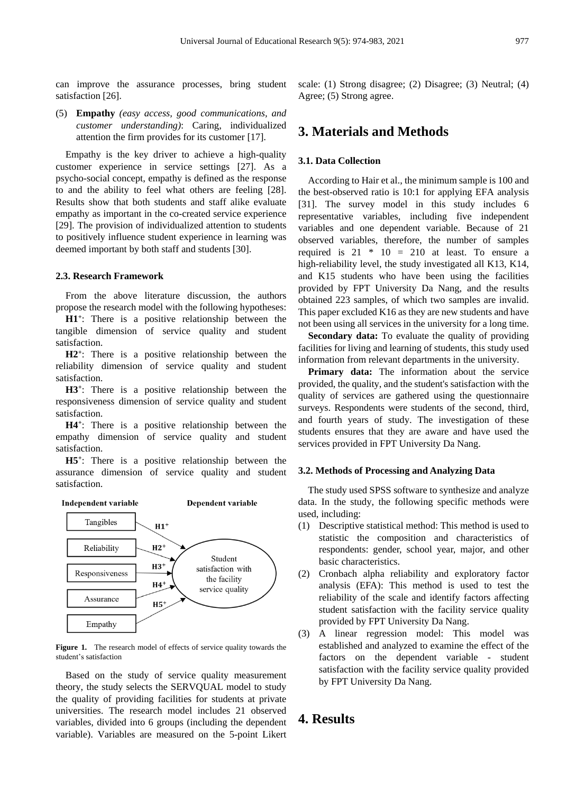can improve the assurance processes, bring student satisfaction [26].

(5) **Empathy** *(easy access, good communications, and customer understanding)*: Caring, individualized attention the firm provides for its customer [17].

Empathy is the key driver to achieve a high-quality customer experience in service settings [27]. As a psycho-social concept, empathy is defined as the response to and the ability to feel what others are feeling [28]. Results show that both students and staff alike evaluate empathy as important in the co-created service experience [29]. The provision of individualized attention to students to positively influence student experience in learning was deemed important by both staff and students [30].

#### **2.3. Research Framework**

From the above literature discussion, the authors propose the research model with the following hypotheses:

**H1<sup>+</sup>** : There is a positive relationship between the tangible dimension of service quality and student satisfaction.

**H2<sup>+</sup>** : There is a positive relationship between the reliability dimension of service quality and student satisfaction.

**H3<sup>+</sup>** : There is a positive relationship between the responsiveness dimension of service quality and student satisfaction.

**H4<sup>+</sup>** : There is a positive relationship between the empathy dimension of service quality and student satisfaction.

**H5<sup>+</sup>** : There is a positive relationship between the assurance dimension of service quality and student satisfaction.





**Figure 1.** The research model of effects of service quality towards the student's satisfaction

Based on the study of service quality measurement theory, the study selects the SERVQUAL model to study the quality of providing facilities for students at private universities. The research model includes 21 observed variables, divided into 6 groups (including the dependent variable). Variables are measured on the 5-point Likert

scale: (1) Strong disagree; (2) Disagree; (3) Neutral; (4) Agree; (5) Strong agree.

### **3. Materials and Methods**

#### **3.1. Data Collection**

According to Hair et al., the minimum sample is 100 and the best-observed ratio is 10:1 for applying EFA analysis [31]. The survey model in this study includes 6 representative variables, including five independent variables and one dependent variable. Because of 21 observed variables, therefore, the number of samples required is  $21 * 10 = 210$  at least. To ensure a high-reliability level, the study investigated all K13, K14, and K15 students who have been using the facilities provided by FPT University Da Nang, and the results obtained 223 samples, of which two samples are invalid. This paper excluded K16 as they are new students and have not been using all services in the university for a long time.

**Secondary data:** To evaluate the quality of providing facilities for living and learning of students, this study used information from relevant departments in the university.

**Primary data:** The information about the service provided, the quality, and the student's satisfaction with the quality of services are gathered using the questionnaire surveys. Respondents were students of the second, third, and fourth years of study. The investigation of these students ensures that they are aware and have used the services provided in FPT University Da Nang.

#### **3.2. Methods of Processing and Analyzing Data**

The study used SPSS software to synthesize and analyze data. In the study, the following specific methods were used, including:

- (1) Descriptive statistical method: This method is used to statistic the composition and characteristics of respondents: gender, school year, major, and other basic characteristics.
- (2) Cronbach alpha reliability and exploratory factor analysis (EFA): This method is used to test the reliability of the scale and identify factors affecting student satisfaction with the facility service quality provided by FPT University Da Nang.
- (3) A linear regression model: This model was established and analyzed to examine the effect of the factors on the dependent variable - student satisfaction with the facility service quality provided by FPT University Da Nang.

### **4. Results**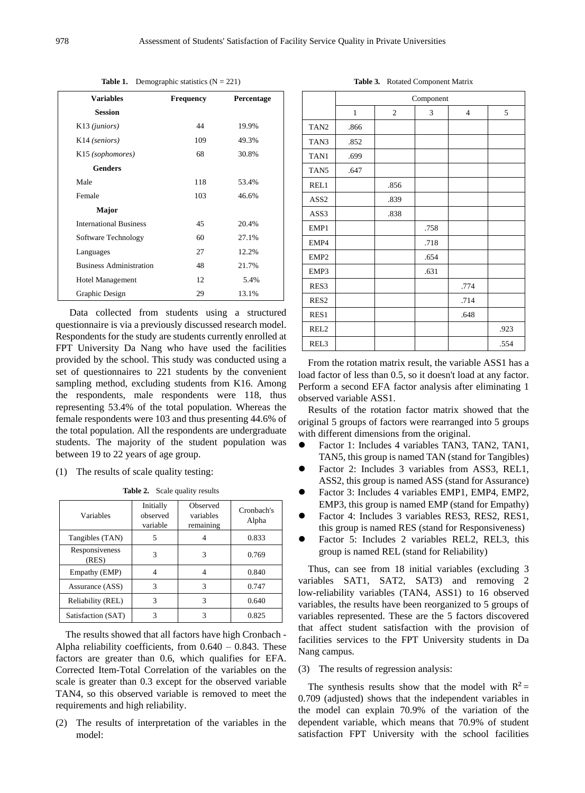|                               |                                | <b>Rapic 1.</b> Demographic statistics $(x - 221)$ |            |
|-------------------------------|--------------------------------|----------------------------------------------------|------------|
| <b>Variables</b>              |                                | <b>Frequency</b>                                   | Percentage |
| <b>Session</b>                |                                |                                                    |            |
| K <sub>13</sub> (juniors)     |                                | 44                                                 | 19.9%      |
| K <sub>14</sub> (seniors)     |                                | 109                                                | 49.3%      |
| K <sub>15</sub> (sophomores)  |                                | 68                                                 | 30.8%      |
| <b>Genders</b>                |                                |                                                    |            |
| Male                          |                                | 118                                                | 53.4%      |
| Female                        |                                | 103                                                | 46.6%      |
| Major                         |                                |                                                    |            |
| <b>International Business</b> |                                | 45                                                 | 20.4%      |
| Software Technology           |                                | 60                                                 | 27.1%      |
| Languages                     |                                | 27                                                 | 12.2%      |
|                               | <b>Business Administration</b> | 48                                                 | 21.7%      |
| <b>Hotel Management</b>       |                                | 12                                                 | 5.4%       |
| Graphic Design                |                                | 29                                                 | 13.1%      |

**Table 1.** Demographic statistics (N = 221)

Data collected from students using a structured questionnaire is via a previously discussed research model. Respondents for the study are students currently enrolled at FPT University Da Nang who have used the facilities provided by the school. This study was conducted using a set of questionnaires to 221 students by the convenient sampling method, excluding students from K16. Among the respondents, male respondents were 118, thus representing 53.4% of the total population. Whereas the female respondents were 103 and thus presenting 44.6% of the total population. All the respondents are undergraduate students. The majority of the student population was between 19 to 22 years of age group.

(1) The results of scale quality testing:

**Table 2.** Scale quality results

| Variables               | Initially<br>observed<br>variable | Observed<br>variables<br>remaining | Cronbach's<br>Alpha |
|-------------------------|-----------------------------------|------------------------------------|---------------------|
| Tangibles (TAN)         | 5                                 |                                    | 0.833               |
| Responsiveness<br>(RES) | 3                                 | 3                                  | 0.769               |
| Empathy (EMP)           |                                   |                                    | 0.840               |
| Assurance (ASS)         | 3                                 | 3                                  | 0.747               |
| Reliability (REL)       | 3                                 | 3                                  | 0.640               |
| Satisfaction (SAT)      |                                   |                                    | 0.825               |

The results showed that all factors have high Cronbach - Alpha reliability coefficients, from  $0.640 - 0.843$ . These factors are greater than 0.6, which qualifies for EFA. Corrected Item-Total Correlation of the variables on the scale is greater than 0.3 except for the observed variable TAN4, so this observed variable is removed to meet the requirements and high reliability.

(2) The results of interpretation of the variables in the model:

**Table 3***.* Rotated Component Matrix

|                  | Component    |                |      |                |      |  |  |
|------------------|--------------|----------------|------|----------------|------|--|--|
|                  | $\mathbf{1}$ | $\mathfrak{2}$ | 3    | $\overline{4}$ | 5    |  |  |
| TAN <sub>2</sub> | .866         |                |      |                |      |  |  |
| TAN3             | .852         |                |      |                |      |  |  |
| TAN1             | .699         |                |      |                |      |  |  |
| TAN5             | .647         |                |      |                |      |  |  |
| REL1             |              | .856           |      |                |      |  |  |
| ASS <sub>2</sub> |              | .839           |      |                |      |  |  |
| ASS3             |              | .838           |      |                |      |  |  |
| EMP1             |              |                | .758 |                |      |  |  |
| EMP4             |              |                | .718 |                |      |  |  |
| EMP <sub>2</sub> |              |                | .654 |                |      |  |  |
| EMP3             |              |                | .631 |                |      |  |  |
| RES3             |              |                |      | .774           |      |  |  |
| RES <sub>2</sub> |              |                |      | .714           |      |  |  |
| RES1             |              |                |      | .648           |      |  |  |
| REL <sub>2</sub> |              |                |      |                | .923 |  |  |
| REL <sub>3</sub> |              |                |      |                | .554 |  |  |

From the rotation matrix result, the variable ASS1 has a load factor of less than 0.5, so it doesn't load at any factor. Perform a second EFA factor analysis after eliminating 1 observed variable ASS1.

Results of the rotation factor matrix showed that the original 5 groups of factors were rearranged into 5 groups with different dimensions from the original.

- Factor 1: Includes 4 variables TAN3, TAN2, TAN1, TAN5, this group is named TAN (stand for Tangibles)
- Factor 2: Includes 3 variables from ASS3, REL1, ASS2, this group is named ASS (stand for Assurance)
- Factor 3: Includes 4 variables EMP1, EMP4, EMP2, EMP3, this group is named EMP (stand for Empathy)
- Factor 4: Includes 3 variables RES3, RES2, RES1, this group is named RES (stand for Responsiveness)
- Factor 5: Includes 2 variables REL2, REL3, this group is named REL (stand for Reliability)

Thus, can see from 18 initial variables (excluding 3 variables SAT1, SAT2, SAT3) and removing 2 low-reliability variables (TAN4, ASS1) to 16 observed variables, the results have been reorganized to 5 groups of variables represented. These are the 5 factors discovered that affect student satisfaction with the provision of facilities services to the FPT University students in Da Nang campus.

#### (3) The results of regression analysis:

The synthesis results show that the model with  $R^2$  = 0.709 (adjusted) shows that the independent variables in the model can explain 70.9% of the variation of the dependent variable, which means that 70.9% of student satisfaction FPT University with the school facilities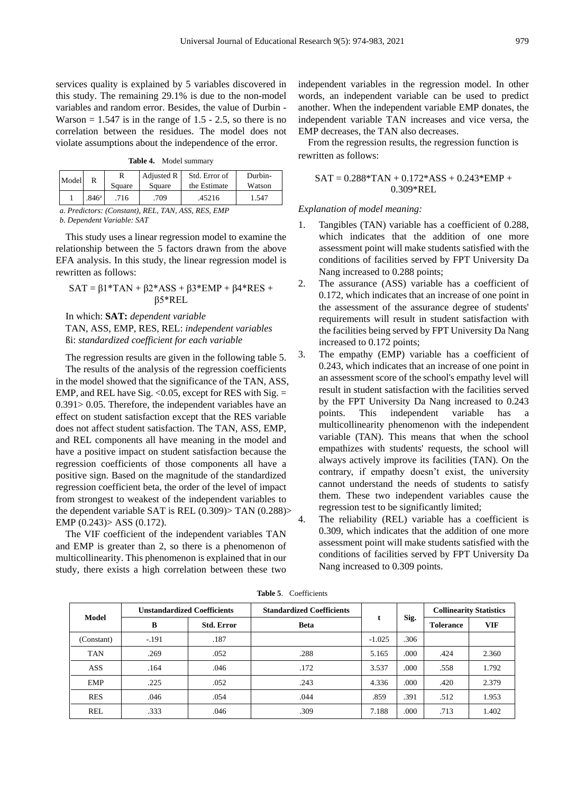services quality is explained by 5 variables discovered in this study. The remaining 29.1% is due to the non-model variables and random error. Besides, the value of Durbin - Warson  $= 1.547$  is in the range of 1.5 - 2.5, so there is no correlation between the residues. The model does not violate assumptions about the independence of the error.

**Table 4.** Model summary

|                   | Square | Square | the Estimate | Watson |
|-------------------|--------|--------|--------------|--------|
| .846 <sup>a</sup> | .716   | .709   | .45216       | 1.547  |

*a. Predictors: (Constant), REL, TAN, ASS, RES, EMP*

*b. Dependent Variable: SAT*

This study uses a linear regression model to examine the relationship between the 5 factors drawn from the above EFA analysis. In this study, the linear regression model is rewritten as follows:

$$
SAT = \beta1*TAN + \beta2*ASS + \beta3*EMP + \beta4*RES + \beta5*REL
$$

In which: **SAT:** *dependent variable* TAN, ASS, EMP, RES, REL: *independent variables* ßi: *standardized coefficient for each variable*

The regression results are given in the following table 5. The results of the analysis of the regression coefficients in the model showed that the significance of the TAN, ASS, EMP, and REL have Sig.  $< 0.05$ , except for RES with Sig.  $=$ 0.391> 0.05. Therefore, the independent variables have an effect on student satisfaction except that the RES variable does not affect student satisfaction. The TAN, ASS, EMP, and REL components all have meaning in the model and have a positive impact on student satisfaction because the regression coefficients of those components all have a positive sign. Based on the magnitude of the standardized regression coefficient beta, the order of the level of impact from strongest to weakest of the independent variables to the dependent variable SAT is REL (0.309)> TAN (0.288)> EMP (0.243)> ASS (0.172).

The VIF coefficient of the independent variables TAN and EMP is greater than 2, so there is a phenomenon of multicollinearity. This phenomenon is explained that in our study, there exists a high correlation between these two independent variables in the regression model. In other words, an independent variable can be used to predict another. When the independent variable EMP donates, the independent variable TAN increases and vice versa, the EMP decreases, the TAN also decreases.

From the regression results, the regression function is rewritten as follows:

$$
SAT = 0.288*TAN + 0.172*ASS + 0.243*EMP + 0.309*REL
$$

#### *Explanation of model meaning:*

- 1. Tangibles (TAN) variable has a coefficient of 0.288, which indicates that the addition of one more assessment point will make students satisfied with the conditions of facilities served by FPT University Da Nang increased to 0.288 points;
- 2. The assurance (ASS) variable has a coefficient of 0.172, which indicates that an increase of one point in the assessment of the assurance degree of students' requirements will result in student satisfaction with the facilities being served by FPT University Da Nang increased to 0.172 points;
- 3. The empathy (EMP) variable has a coefficient of 0.243, which indicates that an increase of one point in an assessment score of the school's empathy level will result in student satisfaction with the facilities served by the FPT University Da Nang increased to 0.243 points. This independent variable has a multicollinearity phenomenon with the independent variable (TAN). This means that when the school empathizes with students' requests, the school will always actively improve its facilities (TAN). On the contrary, if empathy doesn't exist, the university cannot understand the needs of students to satisfy them. These two independent variables cause the regression test to be significantly limited;
- 4. The reliability (REL) variable has a coefficient is 0.309, which indicates that the addition of one more assessment point will make students satisfied with the conditions of facilities served by FPT University Da Nang increased to 0.309 points.

| Model      | <b>Unstandardized Coefficients</b> |                   | <b>Standardized Coefficients</b> |          |      | <b>Collinearity Statistics</b> |       |
|------------|------------------------------------|-------------------|----------------------------------|----------|------|--------------------------------|-------|
|            | B                                  | <b>Std. Error</b> | <b>Beta</b>                      | t        | Sig. | <b>Tolerance</b>               | VIF   |
| (Constant) | $-.191$                            | .187              |                                  | $-1.025$ | .306 |                                |       |
| <b>TAN</b> | .269                               | .052              | .288                             | 5.165    | .000 | .424                           | 2.360 |
| <b>ASS</b> | .164                               | .046              | .172                             | 3.537    | .000 | .558                           | 1.792 |
| <b>EMP</b> | .225                               | .052              | .243                             | 4.336    | .000 | .420                           | 2.379 |
| <b>RES</b> | .046                               | .054              | .044                             | .859     | .391 | .512                           | 1.953 |
| <b>REL</b> | .333                               | .046              | .309                             | 7.188    | .000 | .713                           | 1.402 |

**Table 5**. Coefficients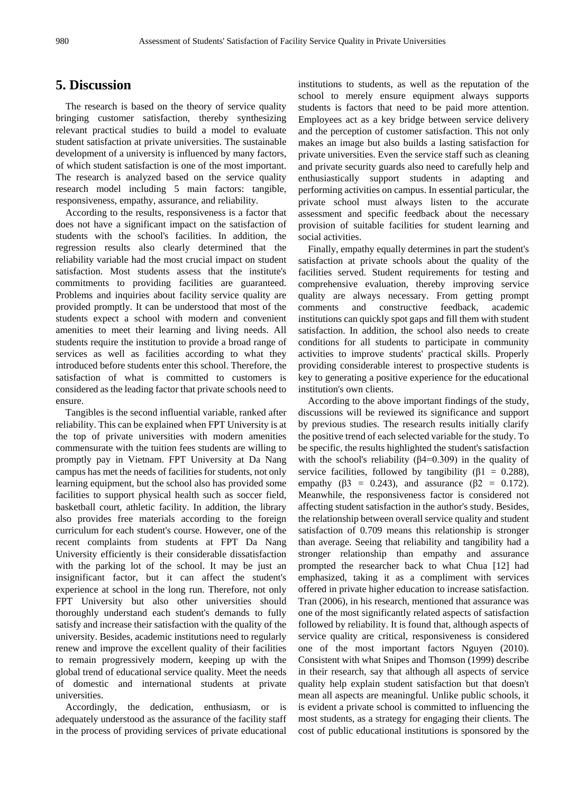### **5. Discussion**

The research is based on the theory of service quality bringing customer satisfaction, thereby synthesizing relevant practical studies to build a model to evaluate student satisfaction at private universities. The sustainable development of a university is influenced by many factors, of which student satisfaction is one of the most important. The research is analyzed based on the service quality research model including 5 main factors: tangible, responsiveness, empathy, assurance, and reliability.

According to the results, responsiveness is a factor that does not have a significant impact on the satisfaction of students with the school's facilities. In addition, the regression results also clearly determined that the reliability variable had the most crucial impact on student satisfaction. Most students assess that the institute's commitments to providing facilities are guaranteed. Problems and inquiries about facility service quality are provided promptly. It can be understood that most of the students expect a school with modern and convenient amenities to meet their learning and living needs. All students require the institution to provide a broad range of services as well as facilities according to what they introduced before students enter this school. Therefore, the satisfaction of what is committed to customers is considered as the leading factor that private schools need to ensure.

Tangibles is the second influential variable, ranked after reliability. This can be explained when FPT University is at the top of private universities with modern amenities commensurate with the tuition fees students are willing to promptly pay in Vietnam. FPT University at Da Nang campus has met the needs of facilities for students, not only learning equipment, but the school also has provided some facilities to support physical health such as soccer field, basketball court, athletic facility. In addition, the library also provides free materials according to the foreign curriculum for each student's course. However, one of the recent complaints from students at FPT Da Nang University efficiently is their considerable dissatisfaction with the parking lot of the school. It may be just an insignificant factor, but it can affect the student's experience at school in the long run. Therefore, not only FPT University but also other universities should thoroughly understand each student's demands to fully satisfy and increase their satisfaction with the quality of the university. Besides, academic institutions need to regularly renew and improve the excellent quality of their facilities to remain progressively modern, keeping up with the global trend of educational service quality. Meet the needs of domestic and international students at private universities.

Accordingly, the dedication, enthusiasm, or is adequately understood as the assurance of the facility staff in the process of providing services of private educational

institutions to students, as well as the reputation of the school to merely ensure equipment always supports students is factors that need to be paid more attention. Employees act as a key bridge between service delivery and the perception of customer satisfaction. This not only makes an image but also builds a lasting satisfaction for private universities. Even the service staff such as cleaning and private security guards also need to carefully help and enthusiastically support students in adapting and performing activities on campus. In essential particular, the private school must always listen to the accurate assessment and specific feedback about the necessary provision of suitable facilities for student learning and social activities.

Finally, empathy equally determines in part the student's satisfaction at private schools about the quality of the facilities served. Student requirements for testing and comprehensive evaluation, thereby improving service quality are always necessary. From getting prompt comments and constructive feedback, academic institutions can quickly spot gaps and fill them with student satisfaction. In addition, the school also needs to create conditions for all students to participate in community activities to improve students' practical skills. Properly providing considerable interest to prospective students is key to generating a positive experience for the educational institution's own clients.

According to the above important findings of the study, discussions will be reviewed its significance and support by previous studies. The research results initially clarify the positive trend of each selected variable for the study. To be specific, the results highlighted the student's satisfaction with the school's reliability (β4=0.309) in the quality of service facilities, followed by tangibility ( $\beta$ 1 = 0.288), empathy ( $\beta$ 3 = 0.243), and assurance ( $\beta$ 2 = 0.172). Meanwhile, the responsiveness factor is considered not affecting student satisfaction in the author's study. Besides, the relationship between overall service quality and student satisfaction of 0.709 means this relationship is stronger than average. Seeing that reliability and tangibility had a stronger relationship than empathy and assurance prompted the researcher back to what Chua [12] had emphasized, taking it as a compliment with services offered in private higher education to increase satisfaction. Tran (2006), in his research, mentioned that assurance was one of the most significantly related aspects of satisfaction followed by reliability. It is found that, although aspects of service quality are critical, responsiveness is considered one of the most important factors Nguyen (2010). Consistent with what Snipes and Thomson (1999) describe in their research, say that although all aspects of service quality help explain student satisfaction but that doesn't mean all aspects are meaningful. Unlike public schools, it is evident a private school is committed to influencing the most students, as a strategy for engaging their clients. The cost of public educational institutions is sponsored by the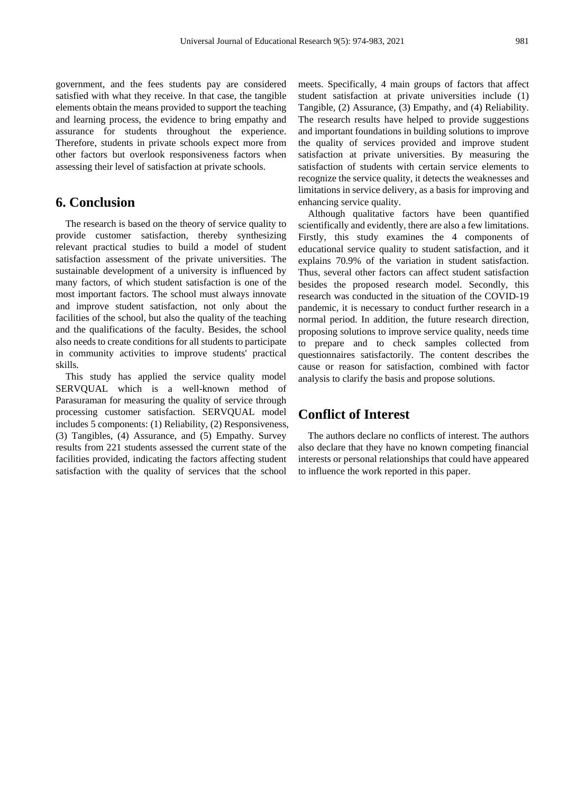government, and the fees students pay are considered satisfied with what they receive. In that case, the tangible elements obtain the means provided to support the teaching and learning process, the evidence to bring empathy and assurance for students throughout the experience. Therefore, students in private schools expect more from other factors but overlook responsiveness factors when assessing their level of satisfaction at private schools.

### **6. Conclusion**

The research is based on the theory of service quality to provide customer satisfaction, thereby synthesizing relevant practical studies to build a model of student satisfaction assessment of the private universities. The sustainable development of a university is influenced by many factors, of which student satisfaction is one of the most important factors. The school must always innovate and improve student satisfaction, not only about the facilities of the school, but also the quality of the teaching and the qualifications of the faculty. Besides, the school also needs to create conditions for all students to participate in community activities to improve students' practical skills.

This study has applied the service quality model SERVQUAL which is a well-known method of Parasuraman for measuring the quality of service through processing customer satisfaction. SERVQUAL model includes 5 components: (1) Reliability, (2) Responsiveness, (3) Tangibles, (4) Assurance, and (5) Empathy. Survey results from 221 students assessed the current state of the facilities provided, indicating the factors affecting student satisfaction with the quality of services that the school

meets. Specifically, 4 main groups of factors that affect student satisfaction at private universities include (1) Tangible, (2) Assurance, (3) Empathy, and (4) Reliability. The research results have helped to provide suggestions and important foundations in building solutions to improve the quality of services provided and improve student satisfaction at private universities. By measuring the satisfaction of students with certain service elements to recognize the service quality, it detects the weaknesses and limitations in service delivery, as a basis for improving and enhancing service quality.

Although qualitative factors have been quantified scientifically and evidently, there are also a few limitations. Firstly, this study examines the 4 components of educational service quality to student satisfaction, and it explains 70.9% of the variation in student satisfaction. Thus, several other factors can affect student satisfaction besides the proposed research model. Secondly, this research was conducted in the situation of the COVID-19 pandemic, it is necessary to conduct further research in a normal period. In addition, the future research direction, proposing solutions to improve service quality, needs time to prepare and to check samples collected from questionnaires satisfactorily. The content describes the cause or reason for satisfaction, combined with factor analysis to clarify the basis and propose solutions.

### **Conflict of Interest**

The authors declare no conflicts of interest. The authors also declare that they have no known competing financial interests or personal relationships that could have appeared to influence the work reported in this paper.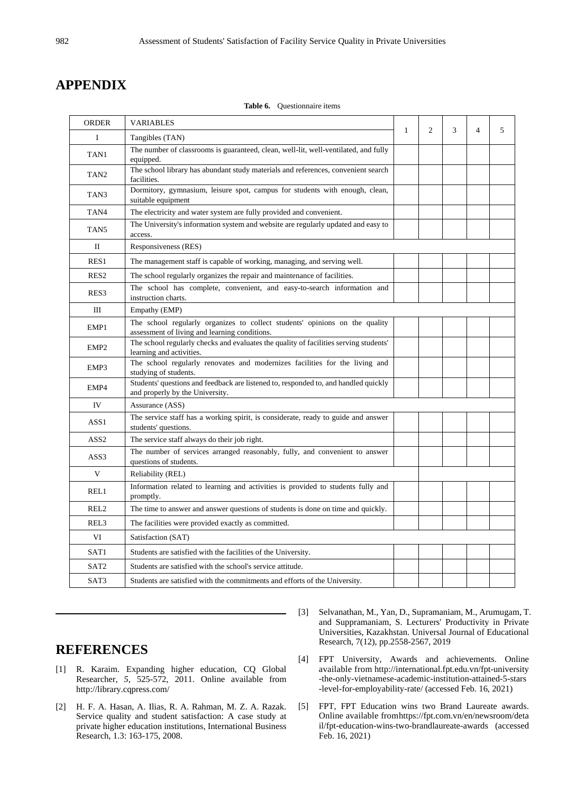## **APPENDIX**

| <b>ORDER</b>     | <b>VARIABLES</b>                                                                                                             |              |   |   |                |   |
|------------------|------------------------------------------------------------------------------------------------------------------------------|--------------|---|---|----------------|---|
| Ι                | Tangibles (TAN)                                                                                                              | $\mathbf{1}$ | 2 | 3 | $\overline{4}$ | 5 |
| TAN1             | The number of classrooms is guaranteed, clean, well-lit, well-ventilated, and fully<br>equipped.                             |              |   |   |                |   |
| TAN <sub>2</sub> | The school library has abundant study materials and references, convenient search<br>facilities.                             |              |   |   |                |   |
| TAN3             | Dormitory, gymnasium, leisure spot, campus for students with enough, clean,<br>suitable equipment                            |              |   |   |                |   |
| TAN4             | The electricity and water system are fully provided and convenient.                                                          |              |   |   |                |   |
| TAN <sub>5</sub> | The University's information system and website are regularly updated and easy to<br>access.                                 |              |   |   |                |   |
| $\mathbf{I}$     | Responsiveness (RES)                                                                                                         |              |   |   |                |   |
| RES1             | The management staff is capable of working, managing, and serving well.                                                      |              |   |   |                |   |
| RES <sub>2</sub> | The school regularly organizes the repair and maintenance of facilities.                                                     |              |   |   |                |   |
| RES3             | The school has complete, convenient, and easy-to-search information and<br>instruction charts.                               |              |   |   |                |   |
| Ш                | Empathy (EMP)                                                                                                                |              |   |   |                |   |
| EMP1             | The school regularly organizes to collect students' opinions on the quality<br>assessment of living and learning conditions. |              |   |   |                |   |
| EMP <sub>2</sub> | The school regularly checks and evaluates the quality of facilities serving students'<br>learning and activities.            |              |   |   |                |   |
| EMP3             | The school regularly renovates and modernizes facilities for the living and<br>studying of students.                         |              |   |   |                |   |
| EMP4             | Students' questions and feedback are listened to, responded to, and handled quickly<br>and properly by the University.       |              |   |   |                |   |
| IV               | Assurance (ASS)                                                                                                              |              |   |   |                |   |
| ASS <sub>1</sub> | The service staff has a working spirit, is considerate, ready to guide and answer<br>students' questions.                    |              |   |   |                |   |
| ASS <sub>2</sub> | The service staff always do their job right.                                                                                 |              |   |   |                |   |
| ASS3             | The number of services arranged reasonably, fully, and convenient to answer<br>questions of students.                        |              |   |   |                |   |
| V                | Reliability (REL)                                                                                                            |              |   |   |                |   |
| REL1             | Information related to learning and activities is provided to students fully and<br>promptly.                                |              |   |   |                |   |
| REL <sub>2</sub> | The time to answer and answer questions of students is done on time and quickly.                                             |              |   |   |                |   |
| REL3             | The facilities were provided exactly as committed.                                                                           |              |   |   |                |   |
| VI               | Satisfaction (SAT)                                                                                                           |              |   |   |                |   |
| SAT1             | Students are satisfied with the facilities of the University.                                                                |              |   |   |                |   |
| SAT <sub>2</sub> | Students are satisfied with the school's service attitude.                                                                   |              |   |   |                |   |
| SAT3             | Students are satisfied with the commitments and efforts of the University.                                                   |              |   |   |                |   |

**Table 6.** Questionnaire items

# **REFERENCES**

- [1] R. Karaim. Expanding higher education, CQ Global Researcher, *5*, 525-572, 2011. Online available from http://library.cqpress.com/
- [2] H. F. A. Hasan, A. Ilias, R. A. Rahman, M. Z. A. Razak. Service quality and student satisfaction: A case study at private higher education institutions, International Business Research, 1.3: 163-175, 2008.
- [3] Selvanathan, M., Yan, D., Supramaniam, M., Arumugam, T. and Suppramaniam, S. Lecturers' Productivity in Private Universities, Kazakhstan. Universal Journal of Educational Research, 7(12), pp.2558-2567, 2019
- [4] FPT University, Awards and achievements. Online available from http://international.fpt.edu.vn/fpt-university -the-only-vietnamese-academic-institution-attained-5-stars -level-for-employability-rate/ (accessed Feb. 16, 2021)
- [5] FPT, FPT Education wins two Brand Laureate awards. Online available fromhttps://fpt.com.vn/en/newsroom/deta il/fpt-education-wins-two-brandlaureate-awards (accessed Feb. 16, 2021)